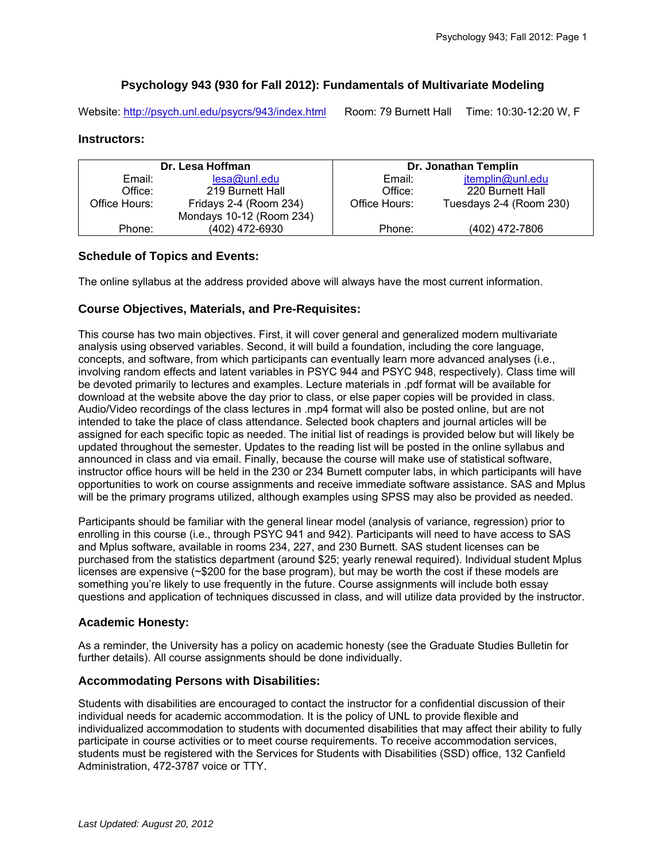## **Psychology 943 (930 for Fall 2012): Fundamentals of Multivariate Modeling**

Website: http://psych.unl.edu/psycrs/943/index.html Room: 79 Burnett Hall Time: 10:30-12:20 W, F

## **Instructors:**

| Dr. Lesa Hoffman |                          | Dr. Jonathan Templin |                         |
|------------------|--------------------------|----------------------|-------------------------|
| Email:           | lesa@unledu              | Email:               | jtemplin@unl.edu        |
| Office:          | 219 Burnett Hall         | Office:              | 220 Burnett Hall        |
| Office Hours:    | Fridays 2-4 (Room 234)   | Office Hours:        | Tuesdays 2-4 (Room 230) |
|                  | Mondays 10-12 (Room 234) |                      |                         |
| Phone:           | (402) 472-6930           | Phone:               | (402) 472-7806          |

#### **Schedule of Topics and Events:**

The online syllabus at the address provided above will always have the most current information.

## **Course Objectives, Materials, and Pre-Requisites:**

This course has two main objectives. First, it will cover general and generalized modern multivariate analysis using observed variables. Second, it will build a foundation, including the core language, concepts, and software, from which participants can eventually learn more advanced analyses (i.e., involving random effects and latent variables in PSYC 944 and PSYC 948, respectively). Class time will be devoted primarily to lectures and examples. Lecture materials in .pdf format will be available for download at the website above the day prior to class, or else paper copies will be provided in class. Audio/Video recordings of the class lectures in .mp4 format will also be posted online, but are not intended to take the place of class attendance. Selected book chapters and journal articles will be assigned for each specific topic as needed. The initial list of readings is provided below but will likely be updated throughout the semester. Updates to the reading list will be posted in the online syllabus and announced in class and via email. Finally, because the course will make use of statistical software, instructor office hours will be held in the 230 or 234 Burnett computer labs, in which participants will have opportunities to work on course assignments and receive immediate software assistance. SAS and Mplus will be the primary programs utilized, although examples using SPSS may also be provided as needed.

Participants should be familiar with the general linear model (analysis of variance, regression) prior to enrolling in this course (i.e., through PSYC 941 and 942). Participants will need to have access to SAS and Mplus software, available in rooms 234, 227, and 230 Burnett. SAS student licenses can be purchased from the statistics department (around \$25; yearly renewal required). Individual student Mplus licenses are expensive (~\$200 for the base program), but may be worth the cost if these models are something you're likely to use frequently in the future. Course assignments will include both essay questions and application of techniques discussed in class, and will utilize data provided by the instructor.

## **Academic Honesty:**

As a reminder, the University has a policy on academic honesty (see the Graduate Studies Bulletin for further details). All course assignments should be done individually.

## **Accommodating Persons with Disabilities:**

Students with disabilities are encouraged to contact the instructor for a confidential discussion of their individual needs for academic accommodation. It is the policy of UNL to provide flexible and individualized accommodation to students with documented disabilities that may affect their ability to fully participate in course activities or to meet course requirements. To receive accommodation services, students must be registered with the Services for Students with Disabilities (SSD) office, 132 Canfield Administration, 472-3787 voice or TTY.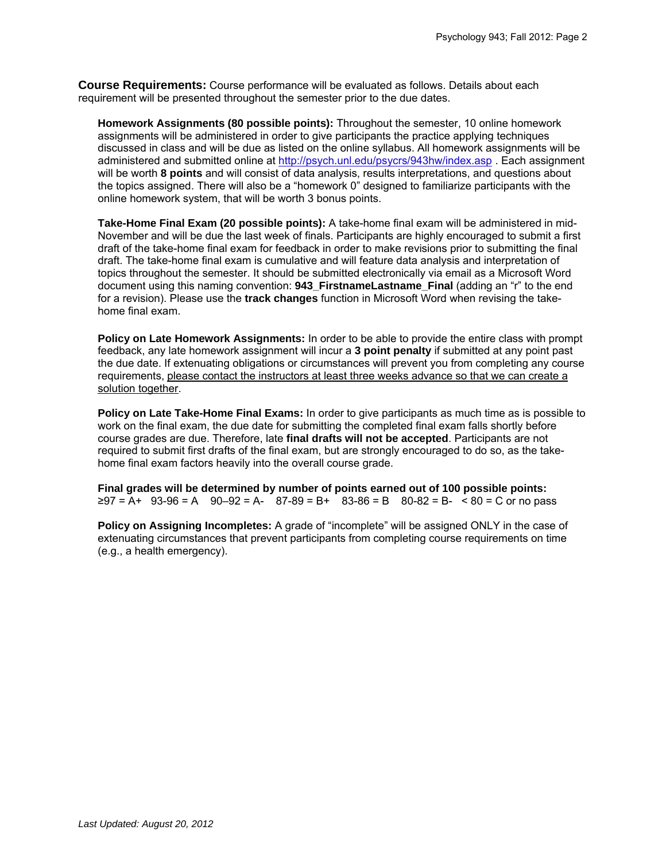**Course Requirements:** Course performance will be evaluated as follows. Details about each requirement will be presented throughout the semester prior to the due dates.

**Homework Assignments (80 possible points):** Throughout the semester, 10 online homework assignments will be administered in order to give participants the practice applying techniques discussed in class and will be due as listed on the online syllabus. All homework assignments will be administered and submitted online at http://psych.unl.edu/psycrs/943hw/index.asp . Each assignment will be worth **8 points** and will consist of data analysis, results interpretations, and questions about the topics assigned. There will also be a "homework 0" designed to familiarize participants with the online homework system, that will be worth 3 bonus points.

**Take-Home Final Exam (20 possible points):** A take-home final exam will be administered in mid-November and will be due the last week of finals. Participants are highly encouraged to submit a first draft of the take-home final exam for feedback in order to make revisions prior to submitting the final draft. The take-home final exam is cumulative and will feature data analysis and interpretation of topics throughout the semester. It should be submitted electronically via email as a Microsoft Word document using this naming convention: **943 FirstnameLastname Final** (adding an "r" to the end for a revision). Please use the **track changes** function in Microsoft Word when revising the takehome final exam.

**Policy on Late Homework Assignments:** In order to be able to provide the entire class with prompt feedback, any late homework assignment will incur a **3 point penalty** if submitted at any point past the due date. If extenuating obligations or circumstances will prevent you from completing any course requirements, please contact the instructors at least three weeks advance so that we can create a solution together.

**Policy on Late Take-Home Final Exams:** In order to give participants as much time as is possible to work on the final exam, the due date for submitting the completed final exam falls shortly before course grades are due. Therefore, late **final drafts will not be accepted**. Participants are not required to submit first drafts of the final exam, but are strongly encouraged to do so, as the takehome final exam factors heavily into the overall course grade.

**Final grades will be determined by number of points earned out of 100 possible points:**   $≥97 = A+ 93-96 = A - 90-92 = A - 87-89 = B+ 83-86 = B - 80-82 = B - 80 = C$  or no pass

**Policy on Assigning Incompletes:** A grade of "incomplete" will be assigned ONLY in the case of extenuating circumstances that prevent participants from completing course requirements on time (e.g., a health emergency).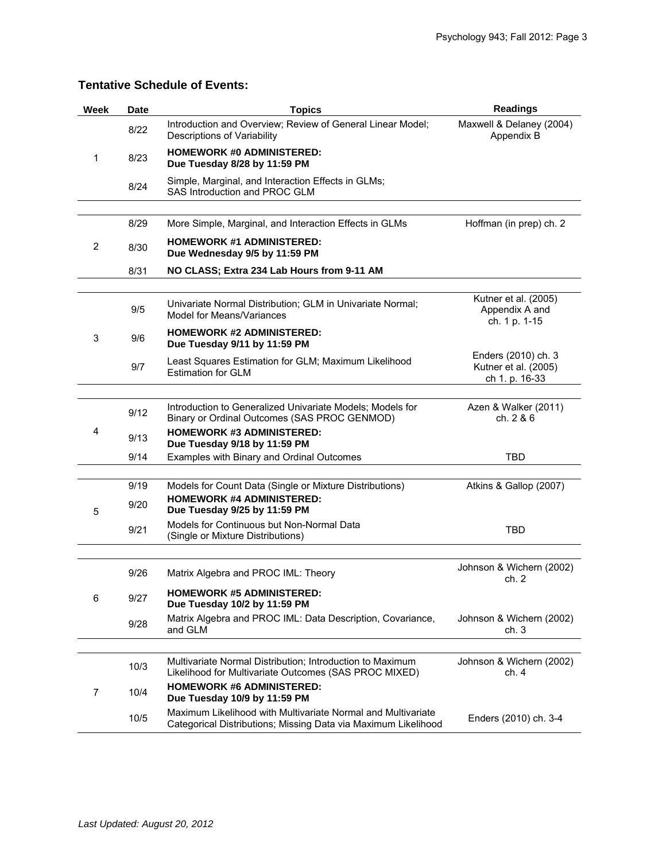# **Tentative Schedule of Events:**

| Week | <b>Date</b>  | <b>Topics</b>                                                                                                                  | <b>Readings</b>                                               |
|------|--------------|--------------------------------------------------------------------------------------------------------------------------------|---------------------------------------------------------------|
| 1    | 8/22         | Introduction and Overview; Review of General Linear Model;<br>Descriptions of Variability                                      | Maxwell & Delaney (2004)<br>Appendix B                        |
|      | 8/23         | <b>HOMEWORK #0 ADMINISTERED:</b><br>Due Tuesday 8/28 by 11:59 PM                                                               |                                                               |
|      | 8/24         | Simple, Marginal, and Interaction Effects in GLMs;<br>SAS Introduction and PROC GLM                                            |                                                               |
|      |              |                                                                                                                                |                                                               |
| 2    | 8/29         | More Simple, Marginal, and Interaction Effects in GLMs                                                                         | Hoffman (in prep) ch. 2                                       |
|      | 8/30         | <b>HOMEWORK #1 ADMINISTERED:</b><br>Due Wednesday 9/5 by 11:59 PM                                                              |                                                               |
|      | 8/31         | NO CLASS; Extra 234 Lab Hours from 9-11 AM                                                                                     |                                                               |
|      |              |                                                                                                                                |                                                               |
| 3    | 9/5          | Univariate Normal Distribution; GLM in Univariate Normal;<br>Model for Means/Variances                                         | Kutner et al. (2005)<br>Appendix A and<br>ch. 1 p. 1-15       |
|      | 9/6          | <b>HOMEWORK #2 ADMINISTERED:</b><br>Due Tuesday 9/11 by 11:59 PM                                                               |                                                               |
|      | 9/7          | Least Squares Estimation for GLM; Maximum Likelihood<br><b>Estimation for GLM</b>                                              | Enders (2010) ch. 3<br>Kutner et al. (2005)<br>ch 1. p. 16-33 |
|      |              |                                                                                                                                |                                                               |
| 4    | 9/12         | Introduction to Generalized Univariate Models; Models for<br>Binary or Ordinal Outcomes (SAS PROC GENMOD)                      | Azen & Walker (2011)<br>ch. 2 & 6                             |
|      | 9/13         | <b>HOMEWORK #3 ADMINISTERED:</b><br>Due Tuesday 9/18 by 11:59 PM                                                               |                                                               |
|      | 9/14         | Examples with Binary and Ordinal Outcomes                                                                                      | <b>TBD</b>                                                    |
|      |              |                                                                                                                                |                                                               |
| 5    | 9/19<br>9/20 | Models for Count Data (Single or Mixture Distributions)<br><b>HOMEWORK #4 ADMINISTERED:</b><br>Due Tuesday 9/25 by 11:59 PM    | Atkins & Gallop (2007)                                        |
|      | 9/21         | Models for Continuous but Non-Normal Data<br>(Single or Mixture Distributions)                                                 | <b>TBD</b>                                                    |
|      |              |                                                                                                                                |                                                               |
| 6    | 9/26         | Matrix Algebra and PROC IML: Theory                                                                                            | Johnson & Wichern (2002)<br>ch. 2                             |
|      | 9/27         | <b>HOMEWORK #5 ADMINISTERED:</b><br>Due Tuesday 10/2 by 11:59 PM                                                               |                                                               |
|      | 9/28         | Matrix Algebra and PROC IML: Data Description, Covariance,<br>and GLM                                                          | Johnson & Wichern (2002)<br>ch.3                              |
|      |              |                                                                                                                                |                                                               |
| 7    | 10/3         | Multivariate Normal Distribution; Introduction to Maximum<br>Likelihood for Multivariate Outcomes (SAS PROC MIXED)             | Johnson & Wichern (2002)<br>ch. 4                             |
|      | 10/4         | <b>HOMEWORK #6 ADMINISTERED:</b><br>Due Tuesday 10/9 by 11:59 PM                                                               |                                                               |
|      | 10/5         | Maximum Likelihood with Multivariate Normal and Multivariate<br>Categorical Distributions; Missing Data via Maximum Likelihood | Enders (2010) ch. 3-4                                         |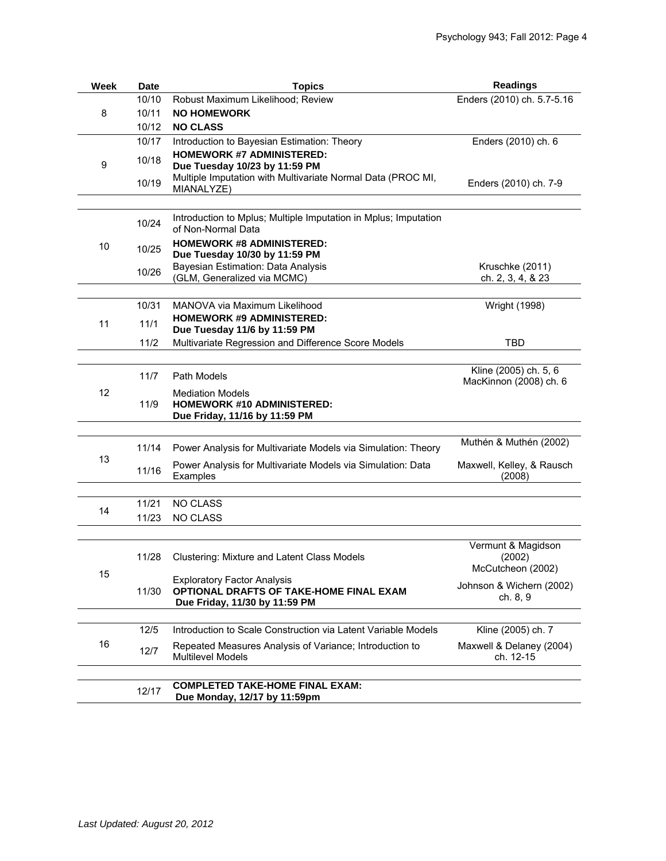| Week | <b>Date</b> | <b>Topics</b>                                                                                                  | <b>Readings</b>                                 |
|------|-------------|----------------------------------------------------------------------------------------------------------------|-------------------------------------------------|
| 8    | 10/10       | Robust Maximum Likelihood; Review                                                                              | Enders (2010) ch. 5.7-5.16                      |
|      | 10/11       | <b>NO HOMEWORK</b>                                                                                             |                                                 |
|      | 10/12       | <b>NO CLASS</b>                                                                                                |                                                 |
| 9    | 10/17       | Introduction to Bayesian Estimation: Theory                                                                    | Enders (2010) ch. 6                             |
|      | 10/18       | <b>HOMEWORK #7 ADMINISTERED:</b><br>Due Tuesday 10/23 by 11:59 PM                                              |                                                 |
|      | 10/19       | Multiple Imputation with Multivariate Normal Data (PROC MI,<br>MIANALYZE)                                      | Enders (2010) ch. 7-9                           |
|      |             |                                                                                                                |                                                 |
| 10   | 10/24       | Introduction to Mplus; Multiple Imputation in Mplus; Imputation<br>of Non-Normal Data                          |                                                 |
|      | 10/25       | <b>HOMEWORK #8 ADMINISTERED:</b><br>Due Tuesday 10/30 by 11:59 PM                                              |                                                 |
|      | 10/26       | Bayesian Estimation: Data Analysis                                                                             | Kruschke (2011)                                 |
|      |             | (GLM, Generalized via MCMC)                                                                                    | ch. 2, 3, 4, & 23                               |
|      | 10/31       | MANOVA via Maximum Likelihood                                                                                  | Wright (1998)                                   |
| 11   | 11/1        | <b>HOMEWORK #9 ADMINISTERED:</b><br>Due Tuesday 11/6 by 11:59 PM                                               |                                                 |
|      | 11/2        | Multivariate Regression and Difference Score Models                                                            | <b>TBD</b>                                      |
|      |             |                                                                                                                |                                                 |
| 12   | 11/7        | Path Models                                                                                                    | Kline (2005) ch. 5, 6<br>MacKinnon (2008) ch. 6 |
|      | 11/9        | <b>Mediation Models</b><br><b>HOMEWORK #10 ADMINISTERED:</b><br>Due Friday, 11/16 by 11:59 PM                  |                                                 |
|      |             |                                                                                                                |                                                 |
| 13   | 11/14       | Power Analysis for Multivariate Models via Simulation: Theory                                                  | Muthén & Muthén (2002)                          |
|      | 11/16       | Power Analysis for Multivariate Models via Simulation: Data<br>Examples                                        | Maxwell, Kelley, & Rausch<br>(2008)             |
|      |             |                                                                                                                |                                                 |
| 14   | 11/21       | <b>NO CLASS</b>                                                                                                |                                                 |
|      | 11/23       | <b>NO CLASS</b>                                                                                                |                                                 |
|      |             |                                                                                                                |                                                 |
|      | 11/28       | Clustering: Mixture and Latent Class Models                                                                    | Vermunt & Magidson<br>(2002)                    |
| 15   |             |                                                                                                                | McCutcheon (2002)                               |
|      | 11/30       | <b>Exploratory Factor Analysis</b><br>OPTIONAL DRAFTS OF TAKE-HOME FINAL EXAM<br>Due Friday, 11/30 by 11:59 PM | Johnson & Wichern (2002)<br>ch. 8, 9            |
|      |             |                                                                                                                |                                                 |
| 16   | 12/5        | Introduction to Scale Construction via Latent Variable Models                                                  | Kline (2005) ch. 7                              |
|      | 12/7        | Repeated Measures Analysis of Variance; Introduction to<br><b>Multilevel Models</b>                            | Maxwell & Delaney (2004)<br>ch. 12-15           |
|      |             |                                                                                                                |                                                 |
|      | 12/17       | <b>COMPLETED TAKE-HOME FINAL EXAM:</b><br>Due Monday, 12/17 by 11:59pm                                         |                                                 |